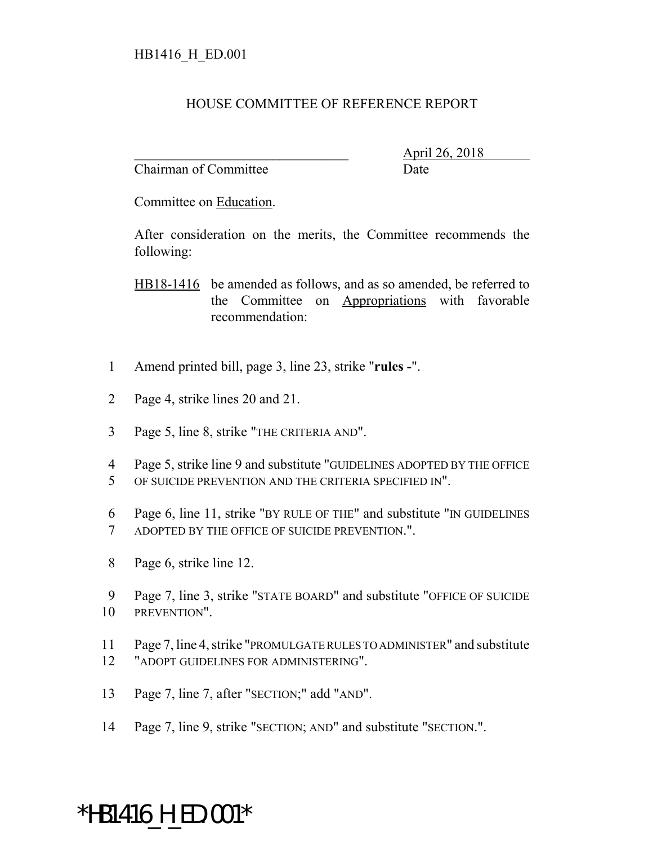## HOUSE COMMITTEE OF REFERENCE REPORT

Chairman of Committee Date

\_\_\_\_\_\_\_\_\_\_\_\_\_\_\_\_\_\_\_\_\_\_\_\_\_\_\_\_\_\_\_ April 26, 2018

Committee on Education.

After consideration on the merits, the Committee recommends the following:

HB18-1416 be amended as follows, and as so amended, be referred to the Committee on Appropriations with favorable recommendation:

- 1 Amend printed bill, page 3, line 23, strike "**rules -**".
- 2 Page 4, strike lines 20 and 21.
- 3 Page 5, line 8, strike "THE CRITERIA AND".
- 4 Page 5, strike line 9 and substitute "GUIDELINES ADOPTED BY THE OFFICE 5 OF SUICIDE PREVENTION AND THE CRITERIA SPECIFIED IN".
- 6 Page 6, line 11, strike "BY RULE OF THE" and substitute "IN GUIDELINES 7 ADOPTED BY THE OFFICE OF SUICIDE PREVENTION.".
- 8 Page 6, strike line 12.
- 9 Page 7, line 3, strike "STATE BOARD" and substitute "OFFICE OF SUICIDE 10 PREVENTION".
- 11 Page 7, line 4, strike "PROMULGATE RULES TO ADMINISTER" and substitute 12 "ADOPT GUIDELINES FOR ADMINISTERING".
- 13 Page 7, line 7, after "SECTION;" add "AND".
- 14 Page 7, line 9, strike "SECTION; AND" and substitute "SECTION.".

## \*HB1416 H ED.001\*